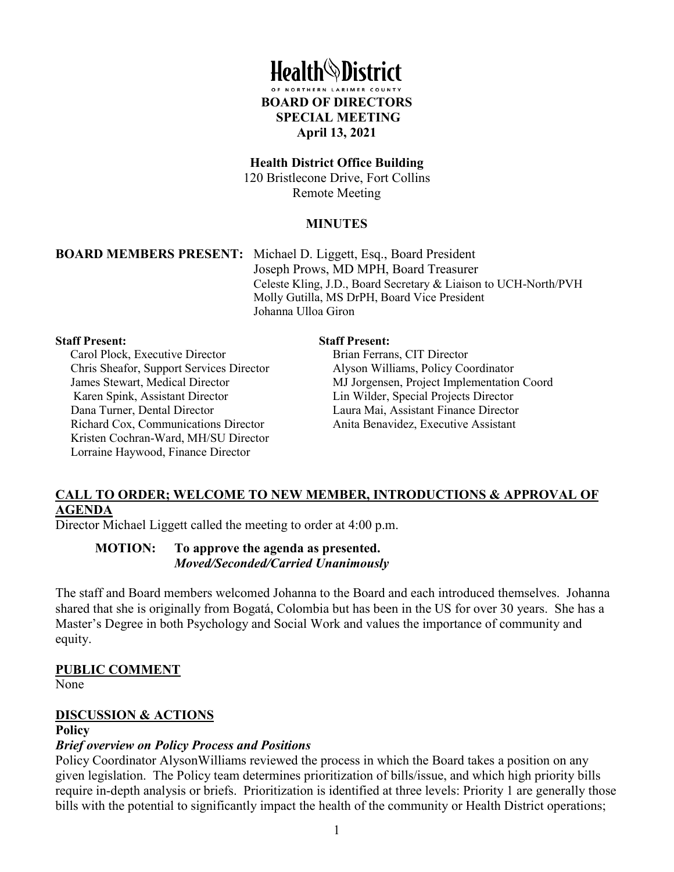

#### **Health District Office Building**

120 Bristlecone Drive, Fort Collins Remote Meeting

#### **MINUTES**

**BOARD MEMBERS PRESENT:** Michael D. Liggett, Esq., Board President Joseph Prows, MD MPH, Board Treasurer Celeste Kling, J.D., Board Secretary & Liaison to UCH-North/PVH Molly Gutilla, MS DrPH, Board Vice President Johanna Ulloa Giron

#### **Staff Present:**

Carol Plock, Executive Director Chris Sheafor, Support Services Director James Stewart, Medical Director Karen Spink, Assistant Director Dana Turner, Dental Director Richard Cox, Communications Director Kristen Cochran-Ward, MH/SU Director Lorraine Haywood, Finance Director

#### **Staff Present:**

Brian Ferrans, CIT Director Alyson Williams, Policy Coordinator MJ Jorgensen, Project Implementation Coord Lin Wilder, Special Projects Director Laura Mai, Assistant Finance Director Anita Benavidez, Executive Assistant

#### **CALL TO ORDER; WELCOME TO NEW MEMBER, INTRODUCTIONS & APPROVAL OF AGENDA**

Director Michael Liggett called the meeting to order at 4:00 p.m.

#### **MOTION: To approve the agenda as presented.**  *Moved/Seconded/Carried Unanimously*

The staff and Board members welcomed Johanna to the Board and each introduced themselves. Johanna shared that she is originally from Bogatá, Colombia but has been in the US for over 30 years. She has a Master's Degree in both Psychology and Social Work and values the importance of community and equity.

#### **PUBLIC COMMENT**

None

#### **DISCUSSION & ACTIONS**

#### **Policy**

#### *Brief overview on Policy Process and Positions*

Policy Coordinator AlysonWilliams reviewed the process in which the Board takes a position on any given legislation. The Policy team determines prioritization of bills/issue, and which high priority bills require in-depth analysis or briefs. Prioritization is identified at three levels: Priority 1 are generally those bills with the potential to significantly impact the health of the community or Health District operations;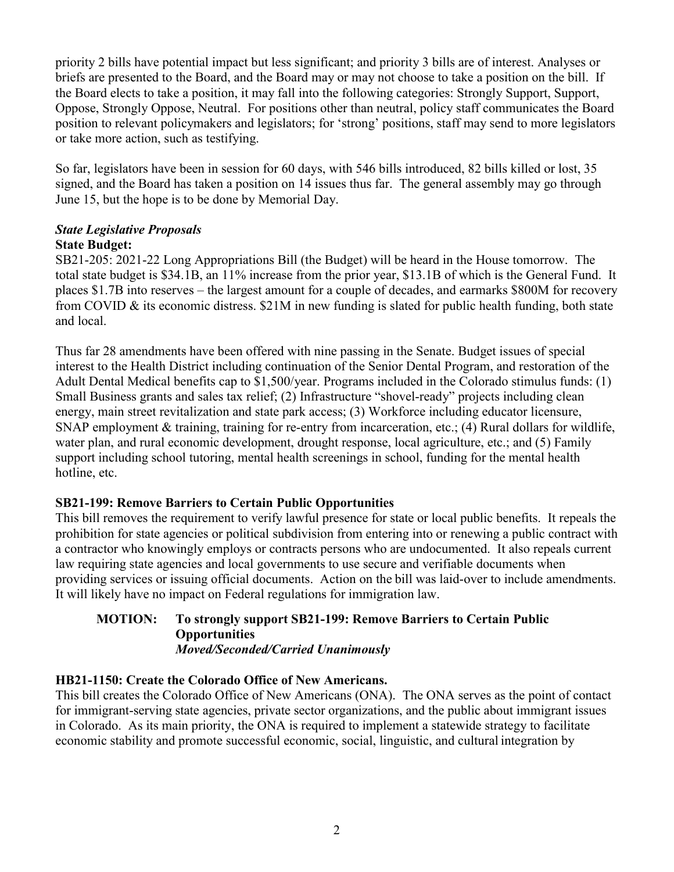priority 2 bills have potential impact but less significant; and priority 3 bills are of interest. Analyses or briefs are presented to the Board, and the Board may or may not choose to take a position on the bill. If the Board elects to take a position, it may fall into the following categories: Strongly Support, Support, Oppose, Strongly Oppose, Neutral. For positions other than neutral, policy staff communicates the Board position to relevant policymakers and legislators; for 'strong' positions, staff may send to more legislators or take more action, such as testifying.

So far, legislators have been in session for 60 days, with 546 bills introduced, 82 bills killed or lost, 35 signed, and the Board has taken a position on 14 issues thus far. The general assembly may go through June 15, but the hope is to be done by Memorial Day.

#### *State Legislative Proposals* **State Budget:**

SB21-205: 2021-22 Long Appropriations Bill (the Budget) will be heard in the House tomorrow. The total state budget is \$34.1B, an 11% increase from the prior year, \$13.1B of which is the General Fund. It places \$1.7B into reserves – the largest amount for a couple of decades, and earmarks \$800M for recovery from COVID & its economic distress. \$21M in new funding is slated for public health funding, both state and local.

Thus far 28 amendments have been offered with nine passing in the Senate. Budget issues of special interest to the Health District including continuation of the Senior Dental Program, and restoration of the Adult Dental Medical benefits cap to \$1,500/year. Programs included in the Colorado stimulus funds: (1) Small Business grants and sales tax relief; (2) Infrastructure "shovel-ready" projects including clean energy, main street revitalization and state park access; (3) Workforce including educator licensure, SNAP employment & training, training for re-entry from incarceration, etc.; (4) Rural dollars for wildlife, water plan, and rural economic development, drought response, local agriculture, etc.; and (5) Family support including school tutoring, mental health screenings in school, funding for the mental health hotline, etc.

# **SB21-199: Remove Barriers to Certain Public Opportunities**

This bill removes the requirement to verify lawful presence for state or local public benefits. It repeals the prohibition for state agencies or political subdivision from entering into or renewing a public contract with a contractor who knowingly employs or contracts persons who are undocumented. It also repeals current law requiring state agencies and local governments to use secure and verifiable documents when providing services or issuing official documents. Action on the bill was laid-over to include amendments. It will likely have no impact on Federal regulations for immigration law.

#### **MOTION: To strongly support SB21-199: Remove Barriers to Certain Public Opportunities** *Moved/Seconded/Carried Unanimously*

# **HB21-1150: Create the Colorado Office of New Americans.**

This bill creates the Colorado Office of New Americans (ONA). The ONA serves as the point of contact for immigrant-serving state agencies, private sector organizations, and the public about immigrant issues in Colorado. As its main priority, the ONA is required to implement a statewide strategy to facilitate economic stability and promote successful economic, social, linguistic, and cultural integration by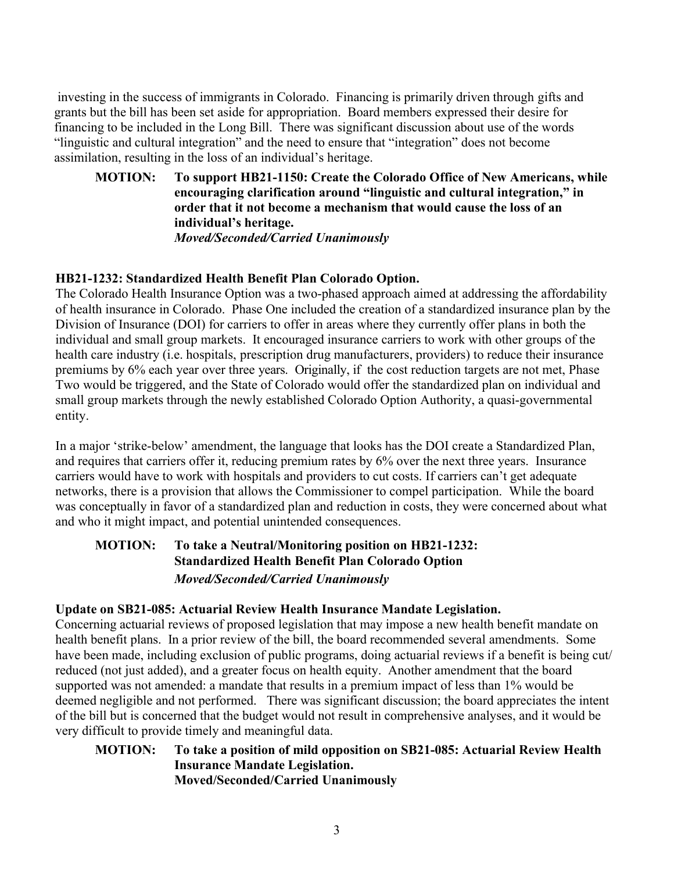investing in the success of immigrants in Colorado. Financing is primarily driven through gifts and grants but the bill has been set aside for appropriation. Board members expressed their desire for financing to be included in the Long Bill. There was significant discussion about use of the words "linguistic and cultural integration" and the need to ensure that "integration" does not become assimilation, resulting in the loss of an individual's heritage.

**MOTION: To support HB21-1150: Create the Colorado Office of New Americans, while encouraging clarification around "linguistic and cultural integration," in order that it not become a mechanism that would cause the loss of an individual's heritage.** *Moved/Seconded/Carried Unanimously* 

## **HB21-1232: Standardized Health Benefit Plan Colorado Option.**

The Colorado Health Insurance Option was a two-phased approach aimed at addressing the affordability of health insurance in Colorado. Phase One included the creation of a standardized insurance plan by the Division of Insurance (DOI) for carriers to offer in areas where they currently offer plans in both the individual and small group markets. It encouraged insurance carriers to work with other groups of the health care industry (i.e. hospitals, prescription drug manufacturers, providers) to reduce their insurance premiums by 6% each year over three years. Originally, if the cost reduction targets are not met, Phase Two would be triggered, and the State of Colorado would offer the standardized plan on individual and small group markets through the newly established Colorado Option Authority, a quasi-governmental entity.

In a major 'strike-below' amendment, the language that looks has the DOI create a Standardized Plan, and requires that carriers offer it, reducing premium rates by 6% over the next three years. Insurance carriers would have to work with hospitals and providers to cut costs. If carriers can't get adequate networks, there is a provision that allows the Commissioner to compel participation. While the board was conceptually in favor of a standardized plan and reduction in costs, they were concerned about what and who it might impact, and potential unintended consequences.

# **MOTION: To take a Neutral/Monitoring position on HB21-1232: Standardized Health Benefit Plan Colorado Option**  *Moved/Seconded/Carried Unanimously*

# **Update on SB21-085: Actuarial Review Health Insurance Mandate Legislation.**

Concerning actuarial reviews of proposed legislation that may impose a new health benefit mandate on health benefit plans. In a prior review of the bill, the board recommended several amendments. Some have been made, including exclusion of public programs, doing actuarial reviews if a benefit is being cut/ reduced (not just added), and a greater focus on health equity. Another amendment that the board supported was not amended: a mandate that results in a premium impact of less than 1% would be deemed negligible and not performed. There was significant discussion; the board appreciates the intent of the bill but is concerned that the budget would not result in comprehensive analyses, and it would be very difficult to provide timely and meaningful data.

## **MOTION: To take a position of mild opposition on SB21-085: Actuarial Review Health Insurance Mandate Legislation. Moved/Seconded/Carried Unanimously**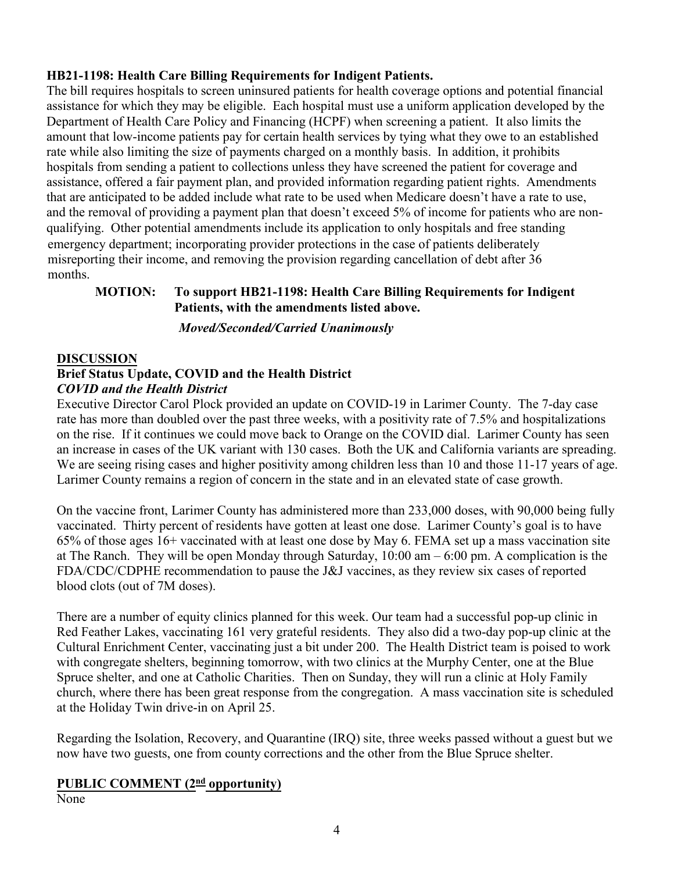# **HB21-1198: Health Care Billing Requirements for Indigent Patients.**

The bill requires hospitals to screen uninsured patients for health coverage options and potential financial assistance for which they may be eligible. Each hospital must use a uniform application developed by the Department of Health Care Policy and Financing (HCPF) when screening a patient. It also limits the amount that low-income patients pay for certain health services by tying what they owe to an established rate while also limiting the size of payments charged on a monthly basis. In addition, it prohibits hospitals from sending a patient to collections unless they have screened the patient for coverage and assistance, offered a fair payment plan, and provided information regarding patient rights. Amendments that are anticipated to be added include what rate to be used when Medicare doesn't have a rate to use, and the removal of providing a payment plan that doesn't exceed 5% of income for patients who are nonqualifying. Other potential amendments include its application to only hospitals and free standing emergency department; incorporating provider protections in the case of patients deliberately misreporting their income, and removing the provision regarding cancellation of debt after 36 months.

# **MOTION: To support HB21-1198: Health Care Billing Requirements for Indigent Patients, with the amendments listed above.**

## *Moved/Seconded/Carried Unanimously*

# **DISCUSSION Brief Status Update, COVID and the Health District** *COVID and the Health District*

Executive Director Carol Plock provided an update on COVID-19 in Larimer County. The 7-day case rate has more than doubled over the past three weeks, with a positivity rate of 7.5% and hospitalizations on the rise. If it continues we could move back to Orange on the COVID dial. Larimer County has seen an increase in cases of the UK variant with 130 cases. Both the UK and California variants are spreading. We are seeing rising cases and higher positivity among children less than 10 and those 11-17 years of age. Larimer County remains a region of concern in the state and in an elevated state of case growth.

On the vaccine front, Larimer County has administered more than 233,000 doses, with 90,000 being fully vaccinated. Thirty percent of residents have gotten at least one dose. Larimer County's goal is to have 65% of those ages 16+ vaccinated with at least one dose by May 6. FEMA set up a mass vaccination site at The Ranch. They will be open Monday through Saturday, 10:00 am – 6:00 pm. A complication is the FDA/CDC/CDPHE recommendation to pause the J&J vaccines, as they review six cases of reported blood clots (out of 7M doses).

There are a number of equity clinics planned for this week. Our team had a successful pop-up clinic in Red Feather Lakes, vaccinating 161 very grateful residents. They also did a two-day pop-up clinic at the Cultural Enrichment Center, vaccinating just a bit under 200. The Health District team is poised to work with congregate shelters, beginning tomorrow, with two clinics at the Murphy Center, one at the Blue Spruce shelter, and one at Catholic Charities. Then on Sunday, they will run a clinic at Holy Family church, where there has been great response from the congregation. A mass vaccination site is scheduled at the Holiday Twin drive-in on April 25.

Regarding the Isolation, Recovery, and Quarantine (IRQ) site, three weeks passed without a guest but we now have two guests, one from county corrections and the other from the Blue Spruce shelter.

# **PUBLIC COMMENT (2<sup>nd</sup> opportunity)**

None